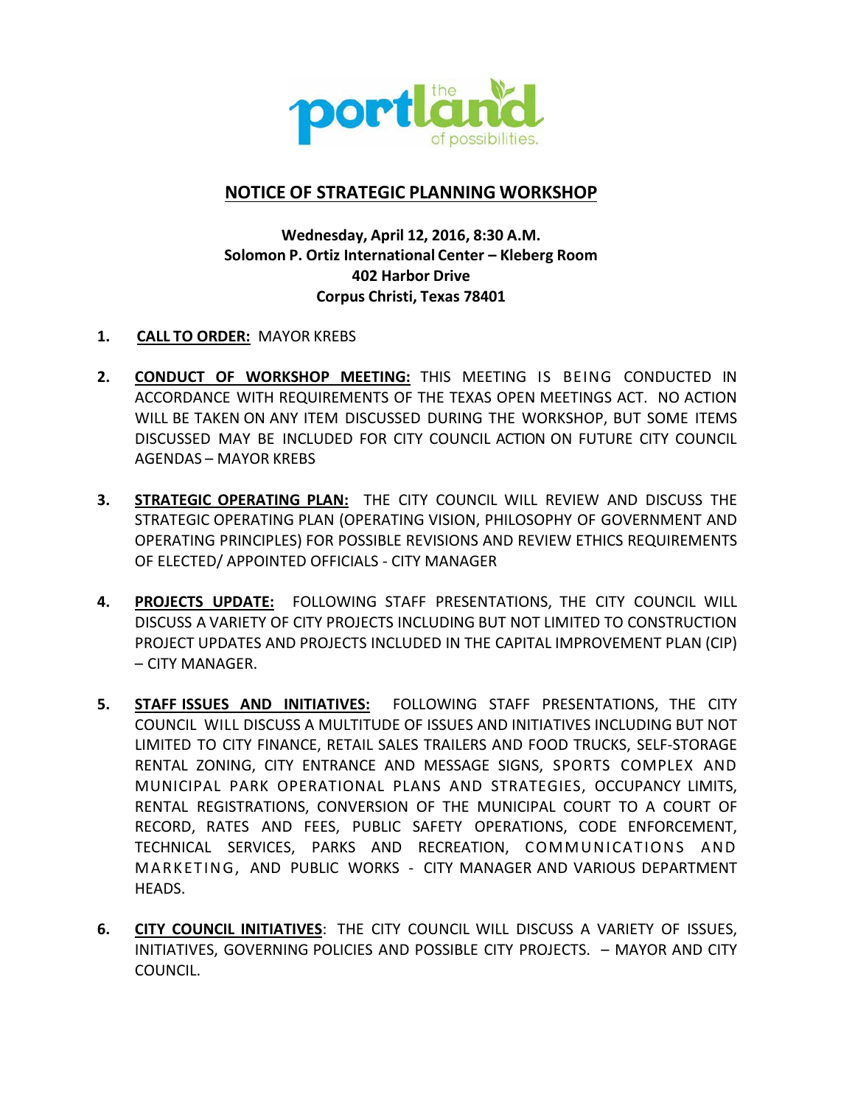

# **NOTICE OF STRATEGIC PLANNING WORKSHOP**

## **Wednesday, April 12, 2016, 8:30 A.M. Solomon P. Ortiz International Center – Kleberg Room 402 Harbor Drive Corpus Christi, Texas 78401**

- **1. CALL TO ORDER:** MAYOR KREBS
- **2. CONDUCT OF WORKSHOP MEETING:** THIS MEETING IS BEING CONDUCTED IN ACCORDANCE WITH REQUIREMENTS OF THE TEXAS OPEN MEETINGS ACT. NO ACTION WILL BE TAKEN ON ANY ITEM DISCUSSED DURING THE WORKSHOP, BUT SOME ITEMS DISCUSSED MAY BE INCLUDED FOR CITY COUNCIL ACTION ON FUTURE CITY COUNCIL AGENDAS – MAYOR KREBS
- **3. STRATEGIC OPERATING PLAN:** THE CITY COUNCIL WILL REVIEW AND DISCUSS THE STRATEGIC OPERATING PLAN (OPERATING VISION, PHILOSOPHY OF GOVERNMENT AND OPERATING PRINCIPLES) FOR POSSIBLE REVISIONS AND REVIEW ETHICS REQUIREMENTS OF ELECTED/ APPOINTED OFFICIALS ‐ CITY MANAGER
- **4. PROJECTS UPDATE:** FOLLOWING STAFF PRESENTATIONS, THE CITY COUNCIL WILL DISCUSS A VARIETY OF CITY PROJECTS INCLUDING BUT NOT LIMITED TO CONSTRUCTION PROJECT UPDATES AND PROJECTS INCLUDED IN THE CAPITAL IMPROVEMENT PLAN (CIP) – CITY MANAGER.
- **5. STAFF ISSUES AND INITIATIVES:** FOLLOWING STAFF PRESENTATIONS, THE CITY COUNCIL WILL DISCUSS A MULTITUDE OF ISSUES AND INITIATIVES INCLUDING BUT NOT LIMITED TO CITY FINANCE, RETAIL SALES TRAILERS AND FOOD TRUCKS, SELF-STORAGE RENTAL ZONING, CITY ENTRANCE AND MESSAGE SIGNS, SPORTS COMPLEX AND MUNICIPAL PARK OPERATIONAL PLANS AND STRATEGIES, OCCUPANCY LIMITS, RENTAL REGISTRATIONS, CONVERSION OF THE MUNICIPAL COURT TO A COURT OF RECORD, RATES AND FEES, PUBLIC SAFETY OPERATIONS, CODE ENFORCEMENT, TECHNICAL SERVICES, PARKS AND RECREATION, COMMUNICATIONS AND MARKETING, AND PUBLIC WORKS ‐ CITY MANAGER AND VARIOUS DEPARTMENT HEADS.
- **6. CITY COUNCIL INITIATIVES**: THE CITY COUNCIL WILL DISCUSS A VARIETY OF ISSUES, INITIATIVES, GOVERNING POLICIES AND POSSIBLE CITY PROJECTS. – MAYOR AND CITY COUNCIL.